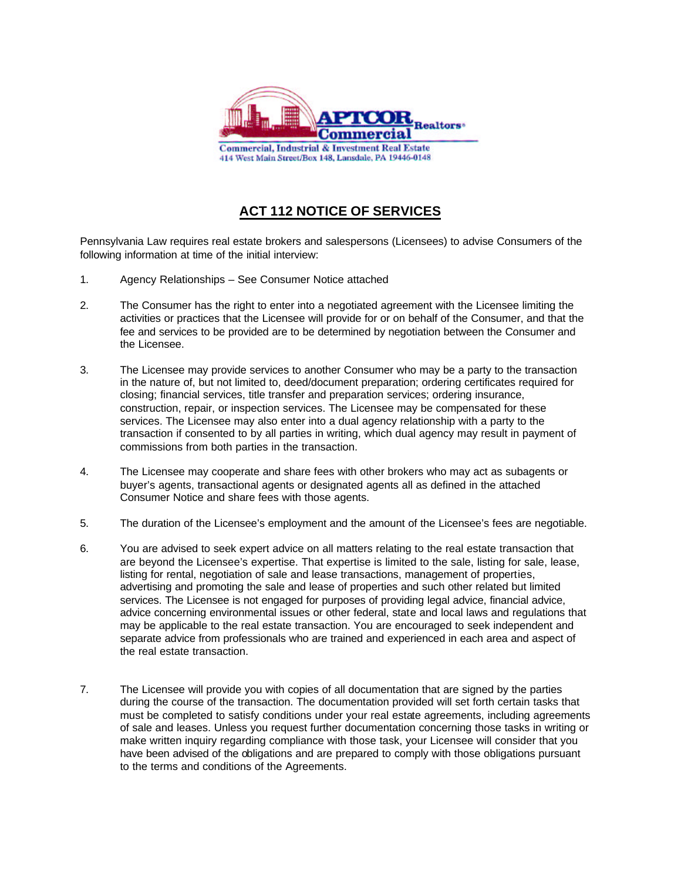

## **ACT 112 NOTICE OF SERVICES**

Pennsylvania Law requires real estate brokers and salespersons (Licensees) to advise Consumers of the following information at time of the initial interview:

- 1. Agency Relationships See Consumer Notice attached
- 2. The Consumer has the right to enter into a negotiated agreement with the Licensee limiting the activities or practices that the Licensee will provide for or on behalf of the Consumer, and that the fee and services to be provided are to be determined by negotiation between the Consumer and the Licensee.
- 3. The Licensee may provide services to another Consumer who may be a party to the transaction in the nature of, but not limited to, deed/document preparation; ordering certificates required for closing; financial services, title transfer and preparation services; ordering insurance, construction, repair, or inspection services. The Licensee may be compensated for these services. The Licensee may also enter into a dual agency relationship with a party to the transaction if consented to by all parties in writing, which dual agency may result in payment of commissions from both parties in the transaction.
- 4. The Licensee may cooperate and share fees with other brokers who may act as subagents or buyer's agents, transactional agents or designated agents all as defined in the attached Consumer Notice and share fees with those agents.
- 5. The duration of the Licensee's employment and the amount of the Licensee's fees are negotiable.
- 6. You are advised to seek expert advice on all matters relating to the real estate transaction that are beyond the Licensee's expertise. That expertise is limited to the sale, listing for sale, lease, listing for rental, negotiation of sale and lease transactions, management of properties, advertising and promoting the sale and lease of properties and such other related but limited services. The Licensee is not engaged for purposes of providing legal advice, financial advice, advice concerning environmental issues or other federal, state and local laws and regulations that may be applicable to the real estate transaction. You are encouraged to seek independent and separate advice from professionals who are trained and experienced in each area and aspect of the real estate transaction.
- 7. The Licensee will provide you with copies of all documentation that are signed by the parties during the course of the transaction. The documentation provided will set forth certain tasks that must be completed to satisfy conditions under your real estate agreements, including agreements of sale and leases. Unless you request further documentation concerning those tasks in writing or make written inquiry regarding compliance with those task, your Licensee will consider that you have been advised of the obligations and are prepared to comply with those obligations pursuant to the terms and conditions of the Agreements.